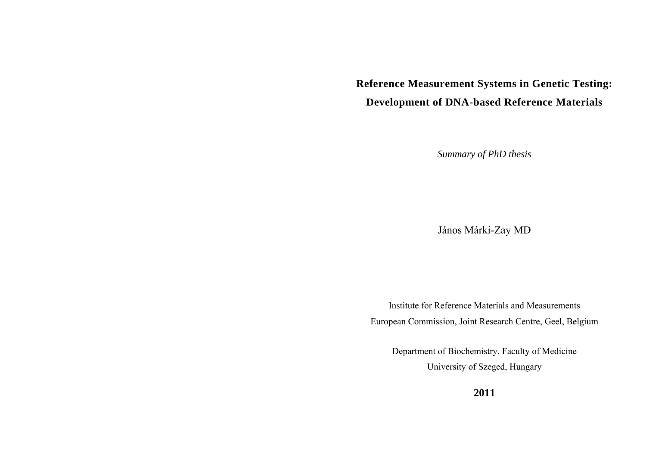# **Reference Measurement Systems in Genetic Testing: Development of DNA-based Reference Materials**

*Summary of PhD thesis* 

János Márki-Zay MD

Institute for Reference Materials and Measurements European Commission, Joint Research Centre, Geel, Belgium

Department of Biochemistry, Faculty of Medicine University of Szeged, Hungary

**2011**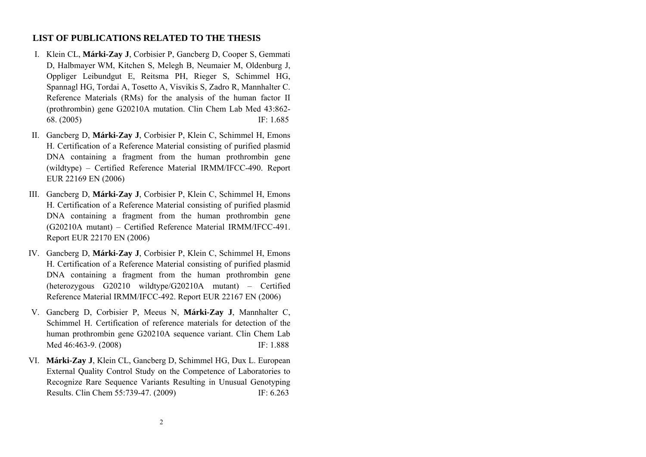# **LIST OF PUBLICATIONS RELATED TO THE THESIS**

- I. Klein CL, **Márki-Zay J**, Corbisier P, Gancberg D, Cooper S, Gemmati D, Halbmayer WM, Kitchen S, Melegh B, Neumaier M, Oldenburg J, Oppliger Leibundgut E, Reitsma PH, Rieger S, Schimmel HG, Spannagl HG, Tordai A, Tosetto A, Visvikis S, Zadro R, Mannhalter C. Reference Materials (RMs) for the analysis of the human factor II (prothrombin) gene G20210A mutation. Clin Chem Lab Med 43:862- 68. (2005) IF: 1.685
- II. Gancberg D, **Márki-Zay J**, Corbisier P, Klein C, Schimmel H, Emons H. Certification of a Reference Material consisting of purified plasmid DNA containing a fragment from the human prothrombin gene (wildtype) – Certified Reference Material IRMM/IFCC-490. Report EUR 22169 EN (2006)
- III. Gancberg D, **Márki-Zay J**, Corbisier P, Klein C, Schimmel H, Emons H. Certification of a Reference Material consisting of purified plasmid DNA containing a fragment from the human prothrombin gene (G20210A mutant) – Certified Reference Material IRMM/IFCC-491. Report EUR 22170 EN (2006)
- IV. Gancberg D, **Márki-Zay J**, Corbisier P, Klein C, Schimmel H, Emons H. Certification of a Reference Material consisting of purified plasmid DNA containing a fragment from the human prothrombin gene (heterozygous G20210 wildtype/G20210A mutant) – Certified Reference Material IRMM/IFCC-492. Report EUR 22167 EN (2006)
- V. Gancberg D, Corbisier P, Meeus N, **Márki-Zay J**, Mannhalter C, Schimmel H. Certification of reference materials for detection of the human prothrombin gene G20210A sequence variant. Clin Chem Lab Med 46:463-9. (2008) IF: 1.888
- VI. **Márki-Zay J**, Klein CL, Gancberg D, Schimmel HG, Dux L. European External Quality Control Study on the Competence of Laboratories to Recognize Rare Sequence Variants Resulting in Unusual Genotyping Results. Clin Chem 55:739-47. (2009) IF: 6.263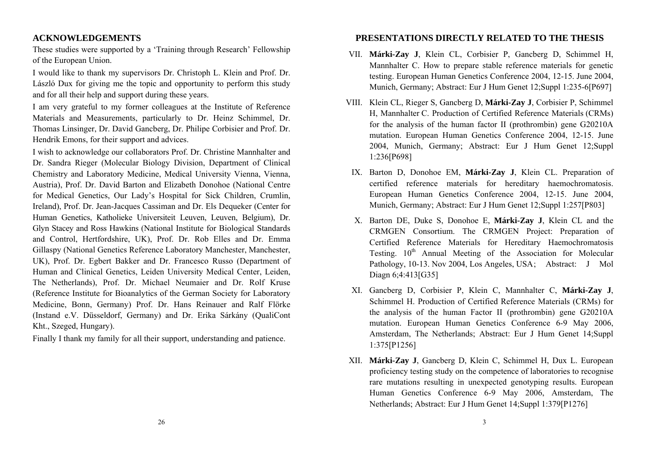# **ACKNOWLEDGEMENTS**

These studies were supported by a 'Training through Research' Fellowship of the European Union.

I would like to thank my supervisors Dr. Christoph L. Klein and Prof. Dr. László Dux for giving me the topic and opportunity to perform this study and for all their help and support during these years.

I am very grateful to my former colleagues at the Institute of Reference Materials and Measurements, particularly to Dr. Heinz Schimmel, Dr. Thomas Linsinger, Dr. David Gancberg, Dr. Philipe Corbisier and Prof. Dr. Hendrik Emons, for their support and advices.

I wish to acknowledge our collaborators Prof. Dr. Christine Mannhalter and Dr. Sandra Rieger (Molecular Biology Division, Department of Clinical Chemistry and Laboratory Medicine, Medical University Vienna, Vienna, Austria), Prof. Dr. David Barton and Elizabeth Donohoe (National Centre for Medical Genetics, Our Lady's Hospital for Sick Children, Crumlin, Ireland), Prof. Dr. Jean-Jacques Cassiman and Dr. Els Dequeker (Center for Human Genetics, Katholieke Universiteit Leuven, Leuven, Belgium), Dr. Glyn Stacey and Ross Hawkins (National Institute for Biological Standards and Control, Hertfordshire, UK), Prof. Dr. Rob Elles and Dr. Emma Gillaspy (National Genetics Reference Laboratory Manchester, Manchester, UK), Prof. Dr. Egbert Bakker and Dr. Francesco Russo (Department of Human and Clinical Genetics, Leiden University Medical Center, Leiden, The Netherlands), Prof. Dr. Michael Neumaier and Dr. Rolf Kruse (Reference Institute for Bioanalytics of the German Society for Laboratory Medicine, Bonn, Germany) Prof. Dr. Hans Reinauer and Ralf Flörke (Instand e.V. Düsseldorf, Germany) and Dr. Erika Sárkány (QualiCont Kht., Szeged, Hungary).

Finally I thank my family for all their support, understanding and patience.

# **PRESENTATIONS DIRECTLY RELATED TO THE THESIS**

- VII. **Márki-Zay J**, Klein CL, Corbisier P, Gancberg D, Schimmel H, Mannhalter C. How to prepare stable reference materials for genetic testing. European Human Genetics Conference 2004, 12-15. June 2004, Munich, Germany; Abstract: Eur J Hum Genet 12;Suppl 1:235-6[P697]
- VIII. Klein CL, Rieger S, Gancberg D, **Márki-Zay J**, Corbisier P, Schimmel H, Mannhalter C. Production of Certified Reference Materials (CRMs) for the analysis of the human factor II (prothrombin) gene G20210A mutation. European Human Genetics Conference 2004, 12-15. June 2004, Munich, Germany; Abstract: Eur J Hum Genet 12;Suppl 1:236[P698]
- IX. Barton D, Donohoe EM, **Márki-Zay J**, Klein CL. Preparation of certified reference materials for hereditary haemochromatosis. European Human Genetics Conference 2004, 12-15. June 2004, Munich, Germany; Abstract: Eur J Hum Genet 12;Suppl 1:257[P803]
- X. Barton DE, Duke S, Donohoe E, **Márki-Zay J**, Klein CL and the CRMGEN Consortium. The CRMGEN Project: Preparation of Certified Reference Materials for Hereditary Haemochromatosis Testing.  $10<sup>th</sup>$  Annual Meeting of the Association for Molecular Pathology, 10-13. Nov 2004, Los Angeles, USA; Abstract: J Mol Diagn 6;4:413[G35]
- XI. Gancberg D, Corbisier P, Klein C, Mannhalter C, **Márki-Zay J**, Schimmel H. Production of Certified Reference Materials (CRMs) for the analysis of the human Factor II (prothrombin) gene G20210A mutation. European Human Genetics Conference 6-9 May 2006, Amsterdam, The Netherlands; Abstract: Eur J Hum Genet 14;Suppl 1:375[P1256]
- XII. **Márki-Zay J**, Gancberg D, Klein C, Schimmel H, Dux L. European proficiency testing study on the competence of laboratories to recognise rare mutations resulting in unexpected genotyping results. European Human Genetics Conference 6-9 May 2006, Amsterdam, The Netherlands; Abstract: Eur J Hum Genet 14;Suppl 1:379[P1276]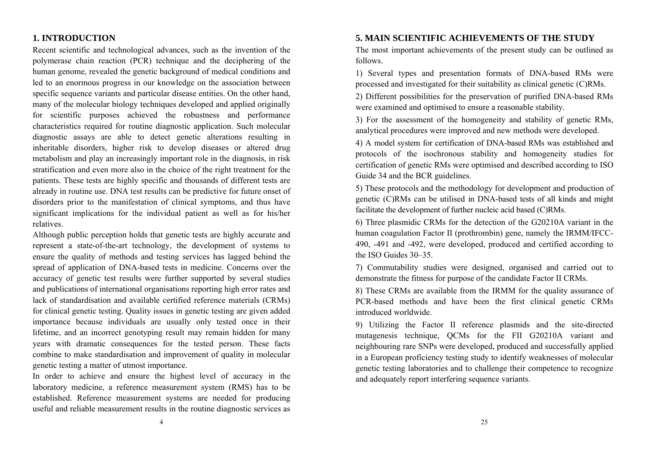# **1. INTRODUCTION**

Recent scientific and technological advances, such as the invention of the polymerase chain reaction (PCR) technique and the deciphering of the human genome, revealed the genetic background of medical conditions and led to an enormous progress in our knowledge on the association between specific sequence variants and particular disease entities. On the other hand, many of the molecular biology techniques developed and applied originally for scientific purposes achieved the robustness and performance characteristics required for routine diagnostic application. Such molecular diagnostic assays are able to detect genetic alterations resulting in inheritable disorders, higher risk to develop diseases or altered drug metabolism and play an increasingly important role in the diagnosis, in risk stratification and even more also in the choice of the right treatment for the patients. These tests are highly specific and thousands of different tests are already in routine use. DNA test results can be predictive for future onset of disorders prior to the manifestation of clinical symptoms, and thus have significant implications for the individual patient as well as for his/her relatives.

Although public perception holds that genetic tests are highly accurate and represent a state-of-the-art technology, the development of systems to ensure the quality of methods and testing services has lagged behind the spread of application of DNA-based tests in medicine. Concerns over the accuracy of genetic test results were further supported by several studies and publications of international organisations reporting high error rates and lack of standardisation and available certified reference materials (CRMs) for clinical genetic testing. Quality issues in genetic testing are given added importance because individuals are usually only tested once in their lifetime, and an incorrect genotyping result may remain hidden for many years with dramatic consequences for the tested person. These facts combine to make standardisation and improvement of quality in molecular genetic testing a matter of utmost importance.

In order to achieve and ensure the highest level of accuracy in the laboratory medicine, a reference measurement system (RMS) has to be established. Reference measurement systems are needed for producing useful and reliable measurement results in the routine diagnostic services as

## **5. MAIN SCIENTIFIC ACHIEVEMENTS OF THE STUDY**

The most important achievements of the present study can be outlined as follows.

1) Several types and presentation formats of DNA-based RMs were processed and investigated for their suitability as clinical genetic (C)RMs.

2) Different possibilities for the preservation of purified DNA-based RMs were examined and optimised to ensure a reasonable stability.

3) For the assessment of the homogeneity and stability of genetic RMs, analytical procedures were improved and new methods were developed.

4) A model system for certification of DNA-based RMs was established and protocols of the isochronous stability and homogeneity studies for certification of genetic RMs were optimised and described according to ISO Guide 34 and the BCR guidelines.

5) These protocols and the methodology for development and production of genetic (C)RMs can be utilised in DNA-based tests of all kinds and might facilitate the development of further nucleic acid based (C)RMs.

6) Three plasmidic CRMs for the detection of the G20210A variant in the human coagulation Factor II (prothrombin) gene, namely the IRMM/IFCC-490, -491 and -492, were developed, produced and certified according to the ISO Guides 30–35.

7) Commutability studies were designed, organised and carried out to demonstrate the fitness for purpose of the candidate Factor II CRMs.

8) These CRMs are available from the IRMM for the quality assurance of PCR-based methods and have been the first clinical genetic CRMs introduced worldwide.

9) Utilizing the Factor II reference plasmids and the site-directed mutagenesis technique, QCMs for the FII G20210A variant and neighbouring rare SNPs were developed, produced and successfully applied in a European proficiency testing study to identify weaknesses of molecular genetic testing laboratories and to challenge their competence to recognize and adequately report interfering sequence variants.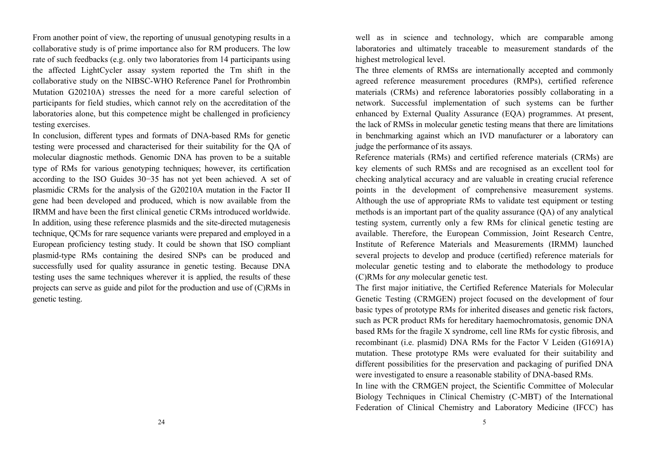From another point of view, the reporting of unusual genotyping results in a collaborative study is of prime importance also for RM producers. The low rate of such feedbacks (e.g. only two laboratories from 14 participants using the affected LightCycler assay system reported the Tm shift in the collaborative study on the NIBSC-WHO Reference Panel for Prothrombin Mutation G20210A) stresses the need for a more careful selection of participants for field studies, which cannot rely on the accreditation of the laboratories alone, but this competence might be challenged in proficiency testing exercises.

In conclusion, different types and formats of DNA-based RMs for genetic testing were processed and characterised for their suitability for the QA of molecular diagnostic methods. Genomic DNA has proven to be a suitable type of RMs for various genotyping techniques; however, its certification according to the ISO Guides 30−35 has not yet been achieved. A set of plasmidic CRMs for the analysis of the G20210A mutation in the Factor II gene had been developed and produced, which is now available from the IRMM and have been the first clinical genetic CRMs introduced worldwide. In addition, using these reference plasmids and the site-directed mutagenesis technique, QCMs for rare sequence variants were prepared and employed in a European proficiency testing study. It could be shown that ISO compliant plasmid-type RMs containing the desired SNPs can be produced and successfully used for quality assurance in genetic testing. Because DNA testing uses the same techniques wherever it is applied, the results of these projects can serve as guide and pilot for the production and use of (C)RMs in genetic testing.

well as in science and technology, which are comparable among laboratories and ultimately traceable to measurement standards of the highest metrological level.

The three elements of RMSs are internationally accepted and commonly agreed reference measurement procedures (RMPs), certified reference materials (CRMs) and reference laboratories possibly collaborating in a network. Successful implementation of such systems can be further enhanced by External Quality Assurance (EQA) programmes. At present, the lack of RMSs in molecular genetic testing means that there are limitations in benchmarking against which an IVD manufacturer or a laboratory can judge the performance of its assays.

Reference materials (RMs) and certified reference materials (CRMs) are key elements of such RMSs and are recognised as an excellent tool for checking analytical accuracy and are valuable in creating crucial reference points in the development of comprehensive measurement systems. Although the use of appropriate RMs to validate test equipment or testing methods is an important part of the quality assurance (QA) of any analytical testing system, currently only a few RMs for clinical genetic testing are available. Therefore, the European Commission, Joint Research Centre, Institute of Reference Materials and Measurements (IRMM) launched several projects to develop and produce (certified) reference materials for molecular genetic testing and to elaborate the methodology to produce (C)RMs for *any* molecular genetic test.

The first major initiative, the Certified Reference Materials for Molecular Genetic Testing (CRMGEN) project focused on the development of four basic types of prototype RMs for inherited diseases and genetic risk factors, such as PCR product RMs for hereditary haemochromatosis, genomic DNA based RMs for the fragile X syndrome, cell line RMs for cystic fibrosis, and recombinant (i.e. plasmid) DNA RMs for the Factor V Leiden (G1691A) mutation. These prototype RMs were evaluated for their suitability and different possibilities for the preservation and packaging of purified DNA were investigated to ensure a reasonable stability of DNA-based RMs.

In line with the CRMGEN project, the Scientific Committee of Molecular Biology Techniques in Clinical Chemistry (C-MBT) of the International Federation of Clinical Chemistry and Laboratory Medicine (IFCC) has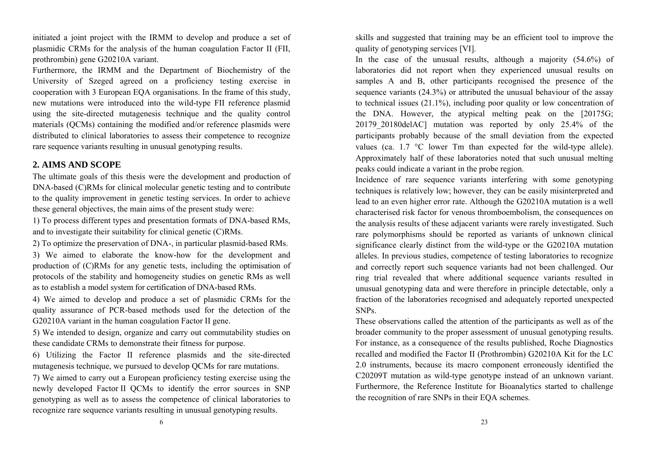initiated a joint project with the IRMM to develop and produce a set of plasmidic CRMs for the analysis of the human coagulation Factor II (FII, prothrombin) gene G20210A variant.

Furthermore, the IRMM and the Department of Biochemistry of the University of Szeged agreed on a proficiency testing exercise in cooperation with 3 European EQA organisations. In the frame of this study, new mutations were introduced into the wild-type FII reference plasmid using the site-directed mutagenesis technique and the quality control materials (QCMs) containing the modified and/or reference plasmids were distributed to clinical laboratories to assess their competence to recognize rare sequence variants resulting in unusual genotyping results.

# **2. AIMS AND SCOPE**

The ultimate goals of this thesis were the development and production of DNA-based (C)RMs for clinical molecular genetic testing and to contribute to the quality improvement in genetic testing services. In order to achieve these general objectives, the main aims of the present study were:

1) To process different types and presentation formats of DNA-based RMs, and to investigate their suitability for clinical genetic (C)RMs.

2) To optimize the preservation of DNA-, in particular plasmid-based RMs.

3) We aimed to elaborate the know-how for the development and production of (C)RMs for any genetic tests, including the optimisation of protocols of the stability and homogeneity studies on genetic RMs as well as to establish a model system for certification of DNA-based RMs.

4) We aimed to develop and produce a set of plasmidic CRMs for the quality assurance of PCR-based methods used for the detection of the G20210A variant in the human coagulation Factor II gene.

5) We intended to design, organize and carry out commutability studies on these candidate CRMs to demonstrate their fitness for purpose.

6) Utilizing the Factor II reference plasmids and the site-directed mutagenesis technique, we pursued to develop QCMs for rare mutations.

7) We aimed to carry out a European proficiency testing exercise using the newly developed Factor II QCMs to identify the error sources in SNP genotyping as well as to assess the competence of clinical laboratories to recognize rare sequence variants resulting in unusual genotyping results.

skills and suggested that training may be an efficient tool to improve the quality of genotyping services [VI].

In the case of the unusual results, although a majority (54.6%) of laboratories did not report when they experienced unusual results on samples A and B, other participants recognised the presence of the sequence variants (24.3%) or attributed the unusual behaviour of the assay to technical issues (21.1%), including poor quality or low concentration of the DNA. However, the atypical melting peak on the [20175G; 20179\_20180delAC] mutation was reported by only 25.4% of the participants probably because of the small deviation from the expected values (ca.  $1.7 \text{ °C}$  lower Tm than expected for the wild-type allele). Approximately half of these laboratories noted that such unusual melting peaks could indicate a variant in the probe region.

Incidence of rare sequence variants interfering with some genotyping techniques is relatively low; however, they can be easily misinterpreted and lead to an even higher error rate. Although the G20210A mutation is a well characterised risk factor for venous thromboembolism, the consequences on the analysis results of these adjacent variants were rarely investigated. Such rare polymorphisms should be reported as variants of unknown clinical significance clearly distinct from the wild-type or the G20210A mutation alleles. In previous studies, competence of testing laboratories to recognize and correctly report such sequence variants had not been challenged. Our ring trial revealed that where additional sequence variants resulted in unusual genotyping data and were therefore in principle detectable, only a fraction of the laboratories recognised and adequately reported unexpected SNPs.

These observations called the attention of the participants as well as of the broader community to the proper assessment of unusual genotyping results. For instance, as a consequence of the results published, Roche Diagnostics recalled and modified the Factor II (Prothrombin) G20210A Kit for the LC 2.0 instruments, because its macro component erroneously identified the C20209T mutation as wild-type genotype instead of an unknown variant. Furthermore, the Reference Institute for Bioanalytics started to challenge the recognition of rare SNPs in their EQA schemes.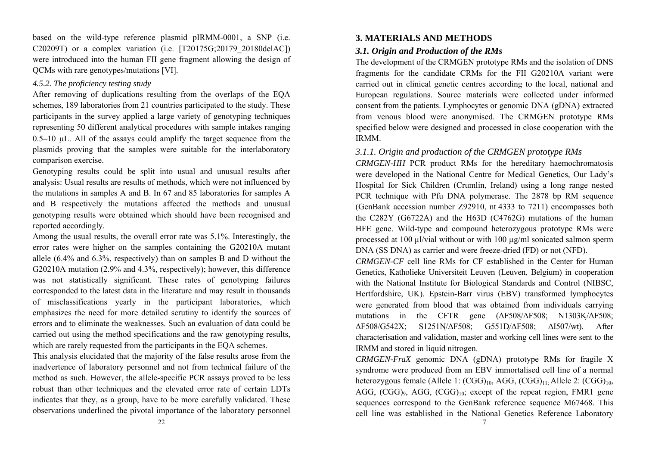based on the wild-type reference plasmid pIRMM-0001, a SNP (i.e. C20209T) or a complex variation (i.e. [T20175G;20179\_20180delAC]) were introduced into the human FII gene fragment allowing the design of QCMs with rare genotypes/mutations [VI].

# *4.5.2. The proficiency testing study*

After removing of duplications resulting from the overlaps of the EQA schemes, 189 laboratories from 21 countries participated to the study. These participants in the survey applied a large variety of genotyping techniques representing 50 different analytical procedures with sample intakes ranging 0.5–10 L. All of the assays could amplify the target sequence from the plasmids proving that the samples were suitable for the interlaboratory comparison exercise.

Genotyping results could be split into usual and unusual results after analysis: Usual results are results of methods, which were not influenced by the mutations in samples A and B. In 67 and 85 laboratories for samples A and B respectively the mutations affected the methods and unusual genotyping results were obtained which should have been recognised and reported accordingly.

Among the usual results, the overall error rate was 5.1%. Interestingly, the error rates were higher on the samples containing the G20210A mutant allele (6.4% and 6.3%, respectively) than on samples B and D without the G20210A mutation (2.9% and 4.3%, respectively); however, this difference was not statistically significant. These rates of genotyping failures corresponded to the latest data in the literature and may result in thousands of misclassifications yearly in the participant laboratories, which emphasizes the need for more detailed scrutiny to identify the sources of errors and to eliminate the weaknesses. Such an evaluation of data could be carried out using the method specifications and the raw genotyping results, which are rarely requested from the participants in the EQA schemes.

This analysis elucidated that the majority of the false results arose from the inadvertence of laboratory personnel and not from technical failure of the method as such. However, the allele-specific PCR assays proved to be less robust than other techniques and the elevated error rate of certain LDTs indicates that they, as a group, have to be more carefully validated. These observations underlined the pivotal importance of the laboratory personnel

# **3. MATERIALS AND METHODS**

# *3.1. Origin and Production of the RMs*

The development of the CRMGEN prototype RMs and the isolation of DNS fragments for the candidate CRMs for the FII G20210A variant were carried out in clinical genetic centres according to the local, national and European regulations. Source materials were collected under informed consent from the patients. Lymphocytes or genomic DNA (gDNA) extracted from venous blood were anonymised. The CRMGEN prototype RMs specified below were designed and processed in close cooperation with the IRMM.

# *3.1.1. Origin and production of the CRMGEN prototype RMs*

*CRMGEN-HH* PCR product RMs for the hereditary haemochromatosis were developed in the National Centre for Medical Genetics, Our Lady's Hospital for Sick Children (Crumlin, Ireland) using a long range nested PCR technique with Pfu DNA polymerase. The 2878 bp RM sequence (GenBank accession number Z92910, nt 4333 to 7211) encompasses both the C282Y (G6722A) and the H63D (C4762G) mutations of the human HFE gene. Wild-type and compound heterozygous prototype RMs were processed at 100 µl/vial without or with 100 µg/ml sonicated salmon sperm DNA (SS DNA) as carrier and were freeze-dried (FD) or not (NFD).

*CRMGEN-CF* cell line RMs for CF established in the Center for Human Genetics, Katholieke Universiteit Leuven (Leuven, Belgium) in cooperation with the National Institute for Biological Standards and Control (NIBSC, Hertfordshire, UK). Epstein-Barr virus (EBV) transformed lymphocytes were generated from blood that was obtained from individuals carrying mutations in the CFTR gene ( ΔF508/ΔF508; N1303K/ΔF508; ΔF508/G542X; S1251N/ΔF508; G551D/ΔF508; ΔI507/wt). After characterisation and validation, master and working cell lines were sent to the IRMM and stored in liquid nitrogen.

*CRMGEN-FraX* genomic DNA (gDNA) prototype RMs for fragile X syndrome were produced from an EBV immortalised cell line of a normal heterozygous female (Allele 1:  $(CGG)_{10}$ , AGG,  $(CGG)_{11}$ . Allele 2:  $(CGG)_{10}$ , AGG,  $(CGG)_{9}$ , AGG,  $(CGG)_{10}$ ; except of the repeat region, FMR1 gene sequences correspond to the GenBank reference sequence M67468. This cell line was established in the National Genetics Reference Laboratory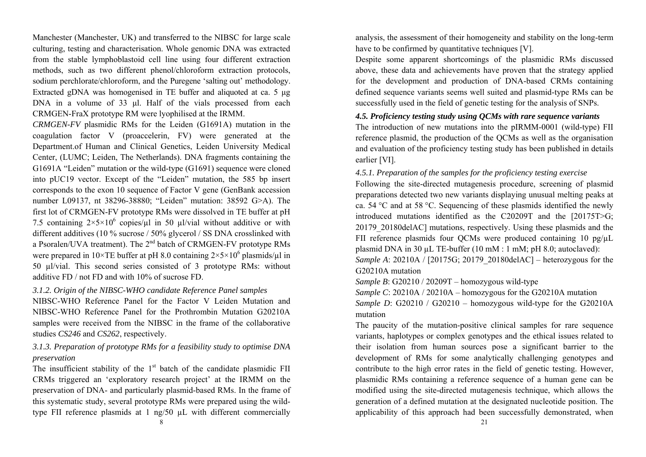Manchester (Manchester, UK) and transferred to the NIBSC for large scale culturing, testing and characterisation. Whole genomic DNA was extracted from the stable lymphoblastoid cell line using four different extraction methods, such as two different phenol/chloroform extraction protocols, sodium perchlorate/chloroform, and the Puregene 'salting out' methodology. Extracted gDNA was homogenised in TE buffer and aliquoted at ca. 5 μg DNA in a volume of 33 μl. Half of the vials processed from each CRMGEN-FraX prototype RM were lyophilised at the IRMM.

*CRMGEN-FV* plasmidic RMs for the Leiden (G1691A) mutation in the coagulation factor V (proaccelerin, FV) were generated at the Department.of Human and Clinical Genetics, Leiden University Medical Center, (LUMC; Leiden, The Netherlands). DNA fragments containing the G1691A "Leiden" mutation or the wild-type (G1691) sequence were cloned into pUC19 vector. Except of the "Leiden" mutation, the 585 bp insert corresponds to the exon 10 sequence of Factor V gene (GenBank accession number L09137, nt 38296-38880; "Leiden" mutation: 38592 G>A). The first lot of CRMGEN-FV prototype RMs were dissolved in TE buffer at pH 7.5 containing  $2 \times 5 \times 10^6$  copies/ $\mu$ l in 50  $\mu$ l/vial without additive or with different additives (10 % sucrose / 50% glycerol / SS DNA crosslinked with a Psoralen/UVA treatment). The  $2<sup>nd</sup>$  batch of CRMGEN-FV prototype RMs were prepared in  $10\times$ TE buffer at pH 8.0 containing  $2\times$ 5 $\times$ 10<sup>6</sup> plasmids/ $\mu$ l in 50 µl/vial. This second series consisted of 3 prototype RMs: without additive FD / not FD and with 10% of sucrose FD.

#### *3.1.2. Origin of the NIBSC-WHO candidate Reference Panel samples*

NIBSC-WHO Reference Panel for the Factor V Leiden Mutation and NIBSC-WHO Reference Panel for the Prothrombin Mutation G20210A samples were received from the NIBSC in the frame of the collaborative studies *CS246* and *CS262*, respectively.

# *3.1.3. Preparation of prototype RMs for a feasibility study to optimise DNA preservation*

The insufficient stability of the  $1<sup>st</sup>$  batch of the candidate plasmidic FII CRMs triggered an 'exploratory research project' at the IRMM on the preservation of DNA- and particularly plasmid-based RMs. In the frame of this systematic study, several prototype RMs were prepared using the wildtype FII reference plasmids at 1 ng/50 µL with different commercially

analysis, the assessment of their homogeneity and stability on the long-term have to be confirmed by quantitative techniques [V].

Despite some apparent shortcomings of the plasmidic RMs discussed above, these data and achievements have proven that the strategy applied for the development and production of DNA-based CRMs containing defined sequence variants seems well suited and plasmid-type RMs can be successfully used in the field of genetic testing for the analysis of SNPs.

## *4.5. Proficiency testing study using QCMs with rare sequence variants*

The introduction of new mutations into the pIRMM-0001 (wild-type) FII reference plasmid, the production of the QCMs as well as the organisation and evaluation of the proficiency testing study has been published in details earlier [VI].

*4.5.1. Preparation of the samples for the proficiency testing exercise* 

Following the site-directed mutagenesis procedure, screening of plasmid preparations detected two new variants displaying unusual melting peaks at ca. 54 °C and at 58 °C. Sequencing of these plasmids identified the newly introduced mutations identified as the C20209T and the [20175T>G; 20179\_20180delAC] mutations, respectively. Using these plasmids and the FII reference plasmids four OCMs were produced containing 10 pg/uL plasmid DNA in 30 µL TE-buffer (10 mM : 1 mM; pH 8.0; autoclaved): *Sample A*: 20210A / [20175G; 20179\_20180delAC] – heterozygous for the G20210A mutation

*Sample B*: G20210 / 20209T – homozygous wild-type

*Sample C*: 20210A / 20210A – homozygous for the G20210A mutation *Sample D*:  $G20210 / G20210 - homozygous wild-type for the  $G20210A$$ mutation

The paucity of the mutation-positive clinical samples for rare sequence variants, haplotypes or complex genotypes and the ethical issues related to their isolation from human sources pose a significant barrier to the development of RMs for some analytically challenging genotypes and contribute to the high error rates in the field of genetic testing. However, plasmidic RMs containing a reference sequence of a human gene can be modified using the site-directed mutagenesis technique, which allows the generation of a defined mutation at the designated nucleotide position. The applicability of this approach had been successfully demonstrated, when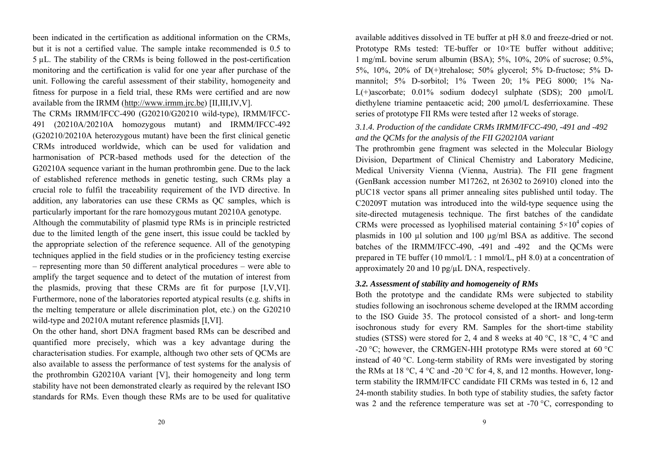been indicated in the certification as additional information on the CRMs, but it is not a certified value. The sample intake recommended is 0.5 to 5 µL. The stability of the CRMs is being followed in the post-certification monitoring and the certification is valid for one year after purchase of the unit. Following the careful assessment of their stability, homogeneity and fitness for purpose in a field trial, these RMs were certified and are now available from the IRMM (http://www.irmm.jrc.be) [II,III,IV,V].

The CRMs IRMM/IFCC-490 (G20210/G20210 wild-type), IRMM/IFCC-491 (20210A/20210A homozygous mutant) and IRMM/IFCC-492 (G20210/20210A heterozygous mutant) have been the first clinical genetic CRMs introduced worldwide, which can be used for validation and harmonisation of PCR-based methods used for the detection of the G20210A sequence variant in the human prothrombin gene. Due to the lack of established reference methods in genetic testing, such CRMs play a crucial role to fulfil the traceability requirement of the IVD directive. In addition, any laboratories can use these CRMs as QC samples, which is particularly important for the rare homozygous mutant 20210A genotype.

Although the commutability of plasmid type RMs is in principle restricted due to the limited length of the gene insert, this issue could be tackled by the appropriate selection of the reference sequence. All of the genotyping techniques applied in the field studies or in the proficiency testing exercise – representing more than 50 different analytical procedures – were able to amplify the target sequence and to detect of the mutation of interest from the plasmids, proving that these CRMs are fit for purpose [I,V,VI]. Furthermore, none of the laboratories reported atypical results (e.g. shifts in the melting temperature or allele discrimination plot, etc.) on the G20210 wild-type and 20210A mutant reference plasmids [I,VI].

On the other hand, short DNA fragment based RMs can be described and quantified more precisely, which was a key advantage during the characterisation studies. For example, although two other sets of QCMs are also available to assess the performance of test systems for the analysis of the prothrombin G20210A variant [V], their homogeneity and long term stability have not been demonstrated clearly as required by the relevant ISO standards for RMs. Even though these RMs are to be used for qualitative

available additives dissolved in TE buffer at pH 8.0 and freeze-dried or not. Prototype RMs tested: TE-buffer or  $10\times$ TE buffer without additive; 1 mg/mL bovine serum albumin (BSA); 5%, 10%, 20% of sucrose; 0.5%, 5%, 10%, 20% of D(+)trehalose; 50% glycerol; 5% D-fructose; 5% Dmannitol; 5% D-sorbitol; 1% Tween 20; 1% PEG 8000; 1% Na-L(+)ascorbate;  $0.01\%$  sodium dodecyl sulphate (SDS); 200  $\mu$ mol/L diethylene triamine pentaacetic acid; 200 µmol/L desferrioxamine. These series of prototype FII RMs were tested after 12 weeks of storage.

# *3.1.4. Production of the candidate CRMs IRMM/IFCC-490, -491 and -492 and the QCMs for the analysis of the FII G20210A variant*

The prothrombin gene fragment was selected in the Molecular Biology Division, Department of Clinical Chemistry and Laboratory Medicine, Medical University Vienna (Vienna, Austria). The FII gene fragment (GenBank accession number M17262, nt 26302 to 26910) cloned into the pUC18 vector spans all primer annealing sites published until today. The C20209T mutation was introduced into the wild-type sequence using the site-directed mutagenesis technique. The first batches of the candidate CRMs were processed as lyophilised material containing  $5\times10^4$  copies of plasmids in 100 µl solution and 100 µg/ml BSA as additive. The second batches of the IRMM/IFCC-490, -491 and -492 and the QCMs were prepared in TE buffer (10 mmol/L : 1 mmol/L, pH 8.0) at a concentration of approximately 20 and 10 pg/µL DNA, respectively.

#### *3.2. Assessment of stability and homogeneity of RMs*

Both the prototype and the candidate RMs were subjected to stability studies following an isochronous scheme developed at the IRMM according to the ISO Guide 35. The protocol consisted of a short- and long-term isochronous study for every RM. Samples for the short-time stability studies (STSS) were stored for 2, 4 and 8 weeks at 40 °C, 18 °C, 4 °C and -20 °C; however, the CRMGEN-HH prototype RMs were stored at 60 °C instead of 40 °C. Long-term stability of RMs were investigated by storing the RMs at 18 °C, 4 °C and -20 °C for 4, 8, and 12 months. However, longterm stability the IRMM/IFCC candidate FII CRMs was tested in 6, 12 and 24-month stability studies. In both type of stability studies, the safety factor was 2 and the reference temperature was set at -70 °C, corresponding to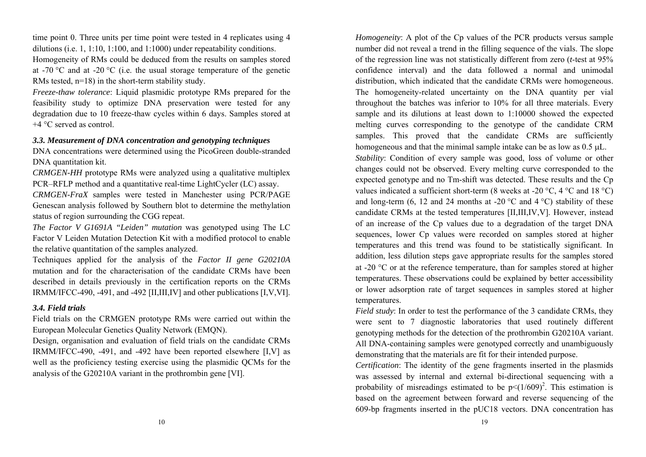time point 0. Three units per time point were tested in 4 replicates using 4 dilutions (i.e. 1, 1:10, 1:100, and 1:1000) under repeatability conditions. Homogeneity of RMs could be deduced from the results on samples stored at -70 °C and at -20 °C (i.e. the usual storage temperature of the genetic RMs tested,  $n=18$ ) in the short-term stability study.

*Freeze-thaw tolerance*: Liquid plasmidic prototype RMs prepared for the feasibility study to optimize DNA preservation were tested for any degradation due to 10 freeze-thaw cycles within 6 days. Samples stored at +4 °C served as control.

# *3.3. Measurement of DNA concentration and genotyping techniques*

DNA concentrations were determined using the PicoGreen double-stranded DNA quantitation kit.

*CRMGEN-HH* prototype RMs were analyzed using a qualitative multiplex PCR–RFLP method and a quantitative real-time LightCycler (LC) assay. *CRMGEN-FraX* samples were tested in Manchester using PCR/PAGE Genescan analysis followed by Southern blot to determine the methylation

status of region surrounding the CGG repeat.

*The Factor V G1691A "Leiden" mutation* was genotyped using The LC Factor V Leiden Mutation Detection Kit with a modified protocol to enable the relative quantitation of the samples analyzed.

Techniques applied for the analysis of the *Factor II gene G20210A* mutation and for the characterisation of the candidate CRMs have been described in details previously in the certification reports on the CRMs IRMM/IFCC-490, -491, and -492 [II,III,IV] and other publications [I,V,VI].

#### *3.4. Field trials*

Field trials on the CRMGEN prototype RMs were carried out within the European Molecular Genetics Quality Network (EMQN).

Design, organisation and evaluation of field trials on the candidate CRMs IRMM/IFCC-490, -491, and -492 have been reported elsewhere [I,V] as well as the proficiency testing exercise using the plasmidic QCMs for the analysis of the G20210A variant in the prothrombin gene [VI].

*Homogeneity*: A plot of the Cp values of the PCR products versus sample number did not reveal a trend in the filling sequence of the vials. The slope of the regression line was not statistically different from zero (*t*-test at 95% confidence interval) and the data followed a normal and unimodal distribution, which indicated that the candidate CRMs were homogeneous. The homogeneity-related uncertainty on the DNA quantity per vial throughout the batches was inferior to 10% for all three materials. Every sample and its dilutions at least down to 1:10000 showed the expected melting curves corresponding to the genotype of the candidate CRM samples. This proved that the candidate CRMs are sufficiently homogeneous and that the minimal sample intake can be as low as  $0.5 \mu L$ . *Stability*: Condition of every sample was good, loss of volume or other changes could not be observed. Every melting curve corresponded to the expected genotype and no Tm-shift was detected. These results and the Cp values indicated a sufficient short-term (8 weeks at -20  $^{\circ}$ C, 4  $^{\circ}$ C and 18  $^{\circ}$ C) and long-term (6, 12 and 24 months at -20  $^{\circ}$ C and 4  $^{\circ}$ C) stability of these candidate CRMs at the tested temperatures [II,III,IV,V]. However, instead of an increase of the Cp values due to a degradation of the target DNA sequences, lower Cp values were recorded on samples stored at higher temperatures and this trend was found to be statistically significant. In addition, less dilution steps gave appropriate results for the samples stored at -20  $\degree$ C or at the reference temperature, than for samples stored at higher temperatures. These observations could be explained by better accessibility or lower adsorption rate of target sequences in samples stored at higher temperatures.

*Field study*: In order to test the performance of the 3 candidate CRMs, they were sent to 7 diagnostic laboratories that used routinely different genotyping methods for the detection of the prothrombin G20210A variant. All DNA-containing samples were genotyped correctly and unambiguously demonstrating that the materials are fit for their intended purpose.

*Certification*: The identity of the gene fragments inserted in the plasmids was assessed by internal and external bi-directional sequencing with a probability of misreadings estimated to be  $p \leq (1/609)^2$ . This estimation is based on the agreement between forward and reverse sequencing of the 609-bp fragments inserted in the pUC18 vectors. DNA concentration has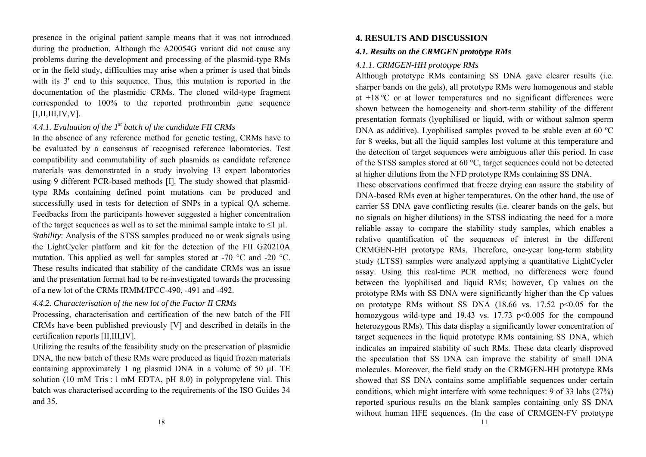presence in the original patient sample means that it was not introduced during the production. Although the A20054G variant did not cause any problems during the development and processing of the plasmid-type RMs or in the field study, difficulties may arise when a primer is used that binds with its 3' end to this sequence. Thus, this mutation is reported in the documentation of the plasmidic CRMs. The cloned wild-type fragment corresponded to 100% to the reported prothrombin gene sequence  $[I,II,III,IV,V].$ 

# *4.4.1. Evaluation of the 1st batch of the candidate FII CRMs*

In the absence of any reference method for genetic testing, CRMs have to be evaluated by a consensus of recognised reference laboratories. Test compatibility and commutability of such plasmids as candidate reference materials was demonstrated in a study involving 13 expert laboratories using 9 different PCR-based methods [I]. The study showed that plasmidtype RMs containing defined point mutations can be produced and successfully used in tests for detection of SNPs in a typical QA scheme. Feedbacks from the participants however suggested a higher concentration of the target sequences as well as to set the minimal sample intake to  $\leq 1$  µl. *Stability*: Analysis of the STSS samples produced no or weak signals using the LightCycler platform and kit for the detection of the FII G20210A mutation. This applied as well for samples stored at -70 °C and -20 °C. These results indicated that stability of the candidate CRMs was an issue and the presentation format had to be re-investigated towards the processing of a new lot of the CRMs IRMM/IFCC-490, -491 and -492.

#### *4.4.2. Characterisation of the new lot of the Factor II CRMs*

Processing, characterisation and certification of the new batch of the FII CRMs have been published previously [V] and described in details in the certification reports [II,III,IV].

Utilizing the results of the feasibility study on the preservation of plasmidic DNA, the new batch of these RMs were produced as liquid frozen materials containing approximately 1 ng plasmid DNA in a volume of 50 μL TE solution (10 mM Tris : 1 mM EDTA, pH 8.0) in polypropylene vial. This batch was characterised according to the requirements of the ISO Guides 34 and 35.

# **4. RESULTS AND DISCUSSION**

## *4.1. Results on the CRMGEN prototype RMs*

# *4.1.1. CRMGEN-HH prototype RMs*

Although prototype RMs containing SS DNA gave clearer results (i.e. sharper bands on the gels), all prototype RMs were homogenous and stable at +18 ºC or at lower temperatures and no significant differences were shown between the homogeneity and short-term stability of the different presentation formats (lyophilised or liquid, with or without salmon sperm DNA as additive). Lyophilised samples proved to be stable even at 60 °C for 8 weeks, but all the liquid samples lost volume at this temperature and the detection of target sequences were ambiguous after this period. In case of the STSS samples stored at 60 °C, target sequences could not be detected at higher dilutions from the NFD prototype RMs containing SS DNA.

These observations confirmed that freeze drying can assure the stability of DNA-based RMs even at higher temperatures. On the other hand, the use of carrier SS DNA gave conflicting results (i.e. clearer bands on the gels, but no signals on higher dilutions) in the STSS indicating the need for a more reliable assay to compare the stability study samples, which enables a relative quantification of the sequences of interest in the different CRMGEN-HH prototype RMs. Therefore, one-year long-term stability study (LTSS) samples were analyzed applying a quantitative LightCycler assay. Using this real-time PCR method, no differences were found between the lyophilised and liquid RMs; however, Cp values on the prototype RMs with SS DNA were significantly higher than the Cp values on prototype RMs without SS DNA  $(18.66 \text{ vs. } 17.52 \text{ p} \le 0.05 \text{ for the }$ homozygous wild-type and 19.43 vs. 17.73 p<0.005 for the compound heterozygous RMs). This data display a significantly lower concentration of target sequences in the liquid prototype RMs containing SS DNA, which indicates an impaired stability of such RMs. These data clearly disproved the speculation that SS DNA can improve the stability of small DNA molecules. Moreover, the field study on the CRMGEN-HH prototype RMs showed that SS DNA contains some amplifiable sequences under certain conditions, which might interfere with some techniques: 9 of 33 labs (27%) reported spurious results on the blank samples containing only SS DNA without human HFE sequences. (In the case of CRMGEN-FV prototype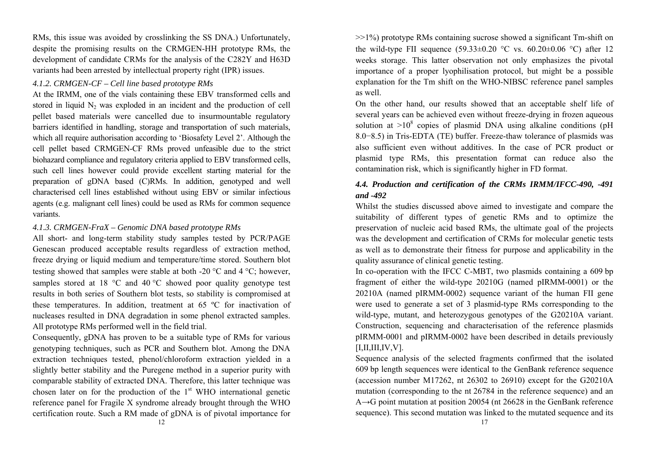RMs, this issue was avoided by crosslinking the SS DNA.) Unfortunately, despite the promising results on the CRMGEN-HH prototype RMs, the development of candidate CRMs for the analysis of the C282Y and H63D variants had been arrested by intellectual property right (IPR) issues.

#### *4.1.2. CRMGEN-CF – Cell line based prototype RMs*

At the IRMM, one of the vials containing these EBV transformed cells and stored in liquid  $N_2$  was exploded in an incident and the production of cell pellet based materials were cancelled due to insurmountable regulatory barriers identified in handling, storage and transportation of such materials, which all require authorisation according to 'Biosafety Level 2'. Although the cell pellet based CRMGEN-CF RMs proved unfeasible due to the strict biohazard compliance and regulatory criteria applied to EBV transformed cells, such cell lines however could provide excellent starting material for the preparation of gDNA based (C)RMs. In addition, genotyped and well characterised cell lines established without using EBV or similar infectious agents (e.g. malignant cell lines) could be used as RMs for common sequence variants.

### *4.1.3. CRMGEN-FraX – Genomic DNA based prototype RMs*

All short- and long-term stability study samples tested by PCR/PAGE Genescan produced acceptable results regardless of extraction method, freeze drying or liquid medium and temperature/time stored. Southern blot testing showed that samples were stable at both -20  $\degree$ C and 4  $\degree$ C; however, samples stored at 18  $\degree$ C and 40  $\degree$ C showed poor quality genotype test results in both series of Southern blot tests, so stability is compromised at these temperatures. In addition, treatment at 65 ºC for inactivation of nucleases resulted in DNA degradation in some phenol extracted samples. All prototype RMs performed well in the field trial.

Consequently, gDNA has proven to be a suitable type of RMs for various genotyping techniques, such as PCR and Southern blot. Among the DNA extraction techniques tested, phenol/chloroform extraction yielded in a slightly better stability and the Puregene method in a superior purity with comparable stability of extracted DNA. Therefore, this latter technique was chosen later on for the production of the  $1<sup>st</sup>$  WHO international genetic reference panel for Fragile X syndrome already brought through the WHO certification route. Such a RM made of gDNA is of pivotal importance for  $>>1\%$ ) prototype RMs containing sucrose showed a significant Tm-shift on the wild-type FII sequence  $(59.33\pm0.20 \degree C \text{ vs. } 60.20\pm0.06 \degree C)$  after 12 weeks storage. This latter observation not only emphasizes the pivotal importance of a proper lyophilisation protocol, but might be a possible explanation for the Tm shift on the WHO-NIBSC reference panel samples as well.

On the other hand, our results showed that an acceptable shelf life of several years can be achieved even without freeze-drying in frozen aqueous solution at  $>10^8$  copies of plasmid DNA using alkaline conditions (pH 8.0 <sup>−</sup>8.5) in Tris-EDTA (TE) buffer. Freeze-thaw tolerance of plasmids was also sufficient even without additives. In the case of PCR product or plasmid type RMs, this presentation format can reduce also the contamination risk, which is significantly higher in FD format.

# *4.4. Production and certification of the CRMs IRMM/IFCC-490, -491 and -492*

Whilst the studies discussed above aimed to investigate and compare the suitability of different types of genetic RMs and to optimize the preservation of nucleic acid based RMs, the ultimate goal of the projects was the development and certification of CRMs for molecular genetic tests as well as to demonstrate their fitness for purpose and applicability in the quality assurance of clinical genetic testing.

In co-operation with the IFCC C-MBT, two plasmids containing a 609 bp fragment of either the wild-type 20210G (named pIRMM-0001) or the 20210A (named pIRMM-0002) sequence variant of the human FII gene were used to generate a set of 3 plasmid-type RMs corresponding to the wild-type, mutant, and heterozygous genotypes of the G20210A variant. Construction, sequencing and characterisation of the reference plasmids pIRMM-0001 and pIRMM-0002 have been described in details previously  $[I,II,III,IV,V].$ 

Sequence analysis of the selected fragments confirmed that the isolated 609 bp length sequences were identical to the GenBank reference sequence (accession number M17262, nt 26302 to 26910) except for the G20210A mutation (corresponding to the nt 26784 in the reference sequence) and an A <sup>→</sup>G point mutation at position 20054 (nt 26628 in the GenBank reference sequence). This second mutation was linked to the mutated sequence and its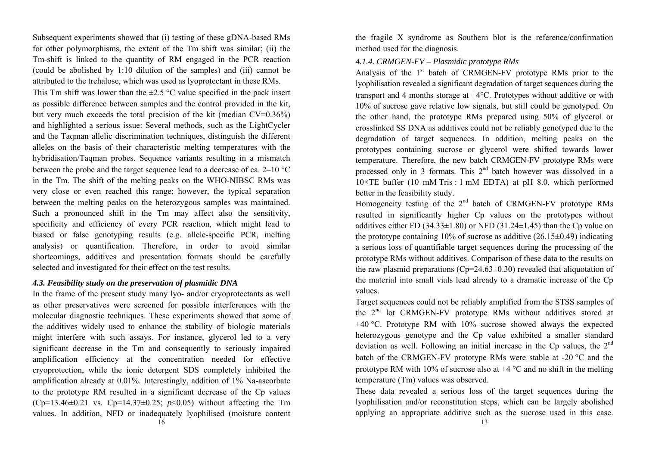Subsequent experiments showed that (i) testing of these gDNA-based RMs for other polymorphisms, the extent of the Tm shift was similar; (ii) the Tm-shift is linked to the quantity of RM engaged in the PCR reaction (could be abolished by 1:10 dilution of the samples) and (iii) cannot be attributed to the trehalose, which was used as lyoprotectant in these RMs.

This Tm shift was lower than the  $\pm 2.5$  °C value specified in the pack insert as possible difference between samples and the control provided in the kit, but very much exceeds the total precision of the kit (median CV=0.36%) and highlighted a serious issue: Several methods, such as the LightCycler and the Taqman allelic discrimination techniques, distinguish the different alleles on the basis of their characteristic melting temperatures with the hybridisation/Taqman probes. Sequence variants resulting in a mismatch between the probe and the target sequence lead to a decrease of ca.  $2-10$  °C in the Tm. The shift of the melting peaks on the WHO-NIBSC RMs was very close or even reached this range; however, the typical separation between the melting peaks on the heterozygous samples was maintained. Such a pronounced shift in the Tm may affect also the sensitivity, specificity and efficiency of every PCR reaction, which might lead to biased or false genotyping results (e.g. allele-specific PCR, melting analysis) or quantification. Therefore, in order to avoid similar shortcomings, additives and presentation formats should be carefully selected and investigated for their effect on the test results.

#### *4.3. Feasibility study on the preservation of plasmidic DNA*

In the frame of the present study many lyo- and/or cryoprotectants as well as other preservatives were screened for possible interferences with the molecular diagnostic techniques. These experiments showed that some of the additives widely used to enhance the stability of biologic materials might interfere with such assays. For instance, glycerol led to a very significant decrease in the Tm and consequently to seriously impaired amplification efficiency at the concentration needed for effective cryoprotection, while the ionic detergent SDS completely inhibited the amplification already at 0.01%. Interestingly, addition of 1% Na-ascorbate to the prototype RM resulted in a significant decrease of the Cp values (Cp=13.46 $\pm$ 0.21 vs. Cp=14.37 $\pm$ 0.25; *p*<0.05) without affecting the Tm values. In addition, NFD or inadequately lyophilised (moisture content

the fragile X syndrome as Southern blot is the reference/confirmation method used for the diagnosis.

#### *4.1.4. CRMGEN-FV – Plasmidic prototype RMs*

Analysis of the  $1<sup>st</sup>$  batch of CRMGEN-FV prototype RMs prior to the lyophilisation revealed a significant degradation of target sequences during the transport and 4 months storage at  $+4^{\circ}$ C. Prototypes without additive or with 10% of sucrose gave relative low signals, but still could be genotyped. On the other hand, the prototype RMs prepared using 50% of glycerol or crosslinked SS DNA as additives could not be reliably genotyped due to the degradation of target sequences. In addition, melting peaks on the prototypes containing sucrose or glycerol were shifted towards lower temperature. Therefore, the new batch CRMGEN-FV prototype RMs were processed only in 3 formats. This  $2<sup>nd</sup>$  batch however was dissolved in a  $10\times$ TE buffer (10 mM Tris : 1 mM EDTA) at pH 8.0, which performed better in the feasibility study.

Homogeneity testing of the  $2<sup>nd</sup>$  batch of CRMGEN-FV prototype RMs resulted in significantly higher Cp values on the prototypes without additives either FD (34.33 $\pm$ 1.80) or NFD (31.24 $\pm$ 1.45) than the Cp value on the prototype containing 10% of sucrose as additive  $(26.15\pm0.49)$  indicating a serious loss of quantifiable target sequences during the processing of the prototype RMs without additives. Comparison of these data to the results on the raw plasmid preparations ( $Cp=24.63\pm0.30$ ) revealed that aliquotation of the material into small vials lead already to a dramatic increase of the Cp values.

Target sequences could not be reliably amplified from the STSS samples of the 2<sup>nd</sup> lot CRMGEN-FV prototype RMs without additives stored at  $+40$  °C. Prototype RM with 10% sucrose showed always the expected heterozygous genotype and the Cp value exhibited a smaller standard deviation as well. Following an initial increase in the Cp values, the  $2<sup>nd</sup>$ batch of the CRMGEN-FV prototype RMs were stable at  $-20$  °C and the prototype RM with 10% of sucrose also at  $+4$  °C and no shift in the melting temperature (Tm) values was observed.

These data revealed a serious loss of the target sequences during the lyophilisation and/or reconstitution steps, which can be largely abolished applying an appropriate additive such as the sucrose used in this case.